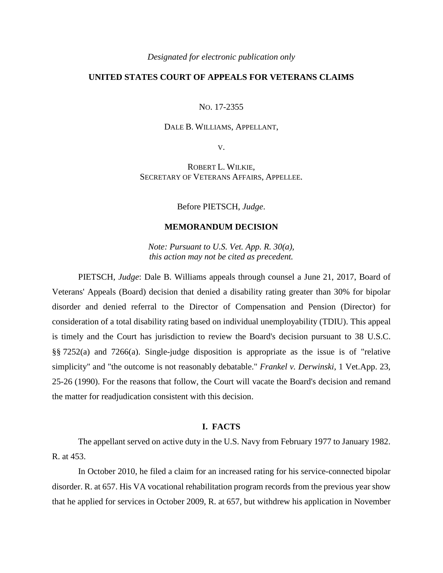# **UNITED STATES COURT OF APPEALS FOR VETERANS CLAIMS**

NO. 17-2355

### DALE B. WILLIAMS, APPELLANT,

V.

ROBERT L. WILKIE, SECRETARY OF VETERANS AFFAIRS, APPELLEE.

Before PIETSCH, *Judge*.

#### **MEMORANDUM DECISION**

*Note: Pursuant to U.S. Vet. App. R. 30(a), this action may not be cited as precedent.*

PIETSCH, *Judge*: Dale B. Williams appeals through counsel a June 21, 2017, Board of Veterans' Appeals (Board) decision that denied a disability rating greater than 30% for bipolar disorder and denied referral to the Director of Compensation and Pension (Director) for consideration of a total disability rating based on individual unemployability (TDIU). This appeal is timely and the Court has jurisdiction to review the Board's decision pursuant to 38 U.S.C. §§ 7252(a) and 7266(a). Single-judge disposition is appropriate as the issue is of "relative simplicity" and "the outcome is not reasonably debatable." *Frankel v. Derwinski*, 1 Vet.App. 23, 25-26 (1990). For the reasons that follow, the Court will vacate the Board's decision and remand the matter for readjudication consistent with this decision.

# **I. FACTS**

The appellant served on active duty in the U.S. Navy from February 1977 to January 1982. R. at 453.

In October 2010, he filed a claim for an increased rating for his service-connected bipolar disorder. R. at 657. His VA vocational rehabilitation program records from the previous year show that he applied for services in October 2009, R. at 657, but withdrew his application in November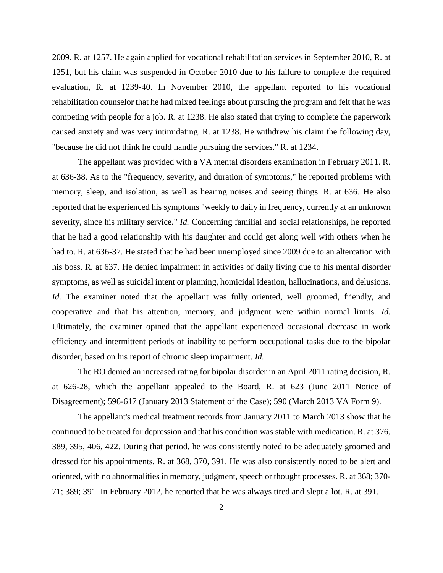2009. R. at 1257. He again applied for vocational rehabilitation services in September 2010, R. at 1251, but his claim was suspended in October 2010 due to his failure to complete the required evaluation, R. at 1239-40. In November 2010, the appellant reported to his vocational rehabilitation counselor that he had mixed feelings about pursuing the program and felt that he was competing with people for a job. R. at 1238. He also stated that trying to complete the paperwork caused anxiety and was very intimidating. R. at 1238. He withdrew his claim the following day, "because he did not think he could handle pursuing the services." R. at 1234.

The appellant was provided with a VA mental disorders examination in February 2011. R. at 636-38. As to the "frequency, severity, and duration of symptoms," he reported problems with memory, sleep, and isolation, as well as hearing noises and seeing things. R. at 636. He also reported that he experienced his symptoms "weekly to daily in frequency, currently at an unknown severity, since his military service." *Id.* Concerning familial and social relationships, he reported that he had a good relationship with his daughter and could get along well with others when he had to. R. at 636-37. He stated that he had been unemployed since 2009 due to an altercation with his boss. R. at 637. He denied impairment in activities of daily living due to his mental disorder symptoms, as well as suicidal intent or planning, homicidal ideation, hallucinations, and delusions. *Id.* The examiner noted that the appellant was fully oriented, well groomed, friendly, and cooperative and that his attention, memory, and judgment were within normal limits. *Id.* Ultimately, the examiner opined that the appellant experienced occasional decrease in work efficiency and intermittent periods of inability to perform occupational tasks due to the bipolar disorder, based on his report of chronic sleep impairment. *Id.*

The RO denied an increased rating for bipolar disorder in an April 2011 rating decision, R. at 626-28, which the appellant appealed to the Board, R. at 623 (June 2011 Notice of Disagreement); 596-617 (January 2013 Statement of the Case); 590 (March 2013 VA Form 9).

The appellant's medical treatment records from January 2011 to March 2013 show that he continued to be treated for depression and that his condition was stable with medication. R. at 376, 389, 395, 406, 422. During that period, he was consistently noted to be adequately groomed and dressed for his appointments. R. at 368, 370, 391. He was also consistently noted to be alert and oriented, with no abnormalities in memory, judgment, speech or thought processes. R. at 368; 370- 71; 389; 391. In February 2012, he reported that he was always tired and slept a lot. R. at 391.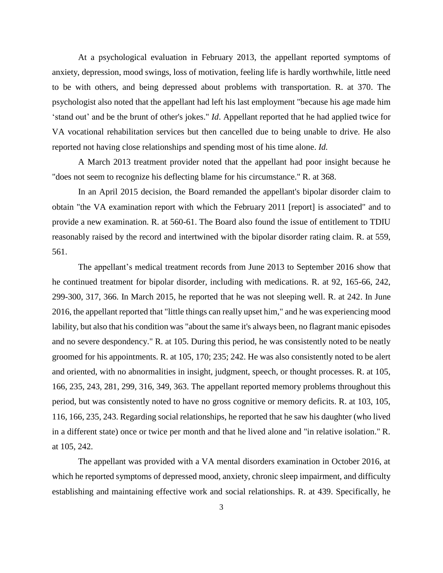At a psychological evaluation in February 2013, the appellant reported symptoms of anxiety, depression, mood swings, loss of motivation, feeling life is hardly worthwhile, little need to be with others, and being depressed about problems with transportation. R. at 370. The psychologist also noted that the appellant had left his last employment "because his age made him 'stand out' and be the brunt of other's jokes." *Id*. Appellant reported that he had applied twice for VA vocational rehabilitation services but then cancelled due to being unable to drive. He also reported not having close relationships and spending most of his time alone. *Id.*

A March 2013 treatment provider noted that the appellant had poor insight because he "does not seem to recognize his deflecting blame for his circumstance." R. at 368.

In an April 2015 decision, the Board remanded the appellant's bipolar disorder claim to obtain "the VA examination report with which the February 2011 [report] is associated" and to provide a new examination. R. at 560-61. The Board also found the issue of entitlement to TDIU reasonably raised by the record and intertwined with the bipolar disorder rating claim. R. at 559, 561.

The appellant's medical treatment records from June 2013 to September 2016 show that he continued treatment for bipolar disorder, including with medications. R. at 92, 165-66, 242, 299-300, 317, 366. In March 2015, he reported that he was not sleeping well. R. at 242. In June 2016, the appellant reported that "little things can really upset him," and he was experiencing mood lability, but also that his condition was "about the same it's always been, no flagrant manic episodes and no severe despondency." R. at 105. During this period, he was consistently noted to be neatly groomed for his appointments. R. at 105, 170; 235; 242. He was also consistently noted to be alert and oriented, with no abnormalities in insight, judgment, speech, or thought processes. R. at 105, 166, 235, 243, 281, 299, 316, 349, 363. The appellant reported memory problems throughout this period, but was consistently noted to have no gross cognitive or memory deficits. R. at 103, 105, 116, 166, 235, 243. Regarding social relationships, he reported that he saw his daughter (who lived in a different state) once or twice per month and that he lived alone and "in relative isolation." R. at 105, 242.

The appellant was provided with a VA mental disorders examination in October 2016, at which he reported symptoms of depressed mood, anxiety, chronic sleep impairment, and difficulty establishing and maintaining effective work and social relationships. R. at 439. Specifically, he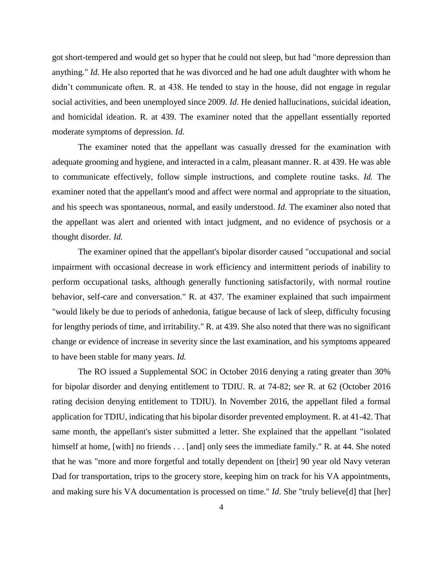got short-tempered and would get so hyper that he could not sleep, but had "more depression than anything." *Id.* He also reported that he was divorced and he had one adult daughter with whom he didn't communicate often. R. at 438. He tended to stay in the house, did not engage in regular social activities, and been unemployed since 2009. *Id*. He denied hallucinations, suicidal ideation, and homicidal ideation. R. at 439. The examiner noted that the appellant essentially reported moderate symptoms of depression. *Id.*

The examiner noted that the appellant was casually dressed for the examination with adequate grooming and hygiene, and interacted in a calm, pleasant manner. R. at 439. He was able to communicate effectively, follow simple instructions, and complete routine tasks. *Id.* The examiner noted that the appellant's mood and affect were normal and appropriate to the situation, and his speech was spontaneous, normal, and easily understood. *Id.* The examiner also noted that the appellant was alert and oriented with intact judgment, and no evidence of psychosis or a thought disorder*. Id.*

The examiner opined that the appellant's bipolar disorder caused "occupational and social impairment with occasional decrease in work efficiency and intermittent periods of inability to perform occupational tasks, although generally functioning satisfactorily, with normal routine behavior, self-care and conversation." R. at 437. The examiner explained that such impairment "would likely be due to periods of anhedonia, fatigue because of lack of sleep, difficulty focusing for lengthy periods of time, and irritability." R. at 439. She also noted that there was no significant change or evidence of increase in severity since the last examination, and his symptoms appeared to have been stable for many years. *Id.*

The RO issued a Supplemental SOC in October 2016 denying a rating greater than 30% for bipolar disorder and denying entitlement to TDIU. R. at 74-82; s*ee* R. at 62 (October 2016 rating decision denying entitlement to TDIU). In November 2016, the appellant filed a formal application for TDIU, indicating that his bipolar disorder prevented employment. R. at 41-42. That same month, the appellant's sister submitted a letter. She explained that the appellant "isolated himself at home, [with] no friends . . . [and] only sees the immediate family." R. at 44. She noted that he was "more and more forgetful and totally dependent on [their] 90 year old Navy veteran Dad for transportation, trips to the grocery store, keeping him on track for his VA appointments, and making sure his VA documentation is processed on time." *Id*. She "truly believe[d] that [her]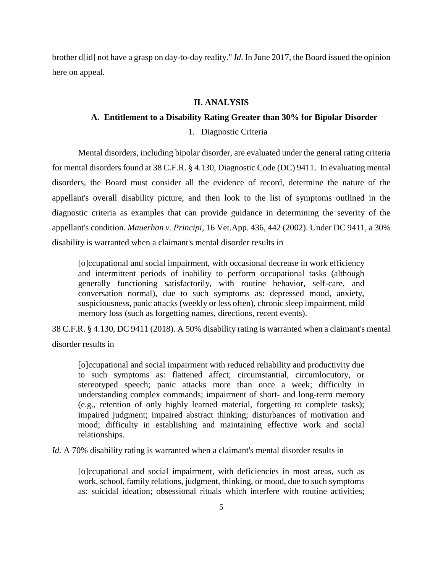brother d[id] not have a grasp on day-to-day reality." *Id*. In June 2017, the Board issued the opinion here on appeal.

## **II. ANALYSIS**

## **A. Entitlement to a Disability Rating Greater than 30% for Bipolar Disorder**

1. Diagnostic Criteria

Mental disorders, including bipolar disorder, are evaluated under the general rating criteria for mental disorders found at 38 C.F.R. § 4.130, Diagnostic Code (DC) 9411. In evaluating mental disorders, the Board must consider all the evidence of record, determine the nature of the appellant's overall disability picture, and then look to the list of symptoms outlined in the diagnostic criteria as examples that can provide guidance in determining the severity of the appellant's condition. *Mauerhan v. Principi*, 16 Vet.App. 436, 442 (2002). Under DC 9411, a 30% disability is warranted when a claimant's mental disorder results in

[o]ccupational and social impairment, with occasional decrease in work efficiency and intermittent periods of inability to perform occupational tasks (although generally functioning satisfactorily, with routine behavior, self-care, and conversation normal), due to such symptoms as: depressed mood, anxiety, suspiciousness, panic attacks (weekly or less often), chronic sleep impairment, mild memory loss (such as forgetting names, directions, recent events).

38 C.F.R. § 4.130, DC 9411 (2018). A 50% disability rating is warranted when a claimant's mental disorder results in

[o]ccupational and social impairment with reduced reliability and productivity due to such symptoms as: flattened affect; circumstantial, circumlocutory, or stereotyped speech; panic attacks more than once a week; difficulty in understanding complex commands; impairment of short- and long-term memory (e.g., retention of only highly learned material, forgetting to complete tasks); impaired judgment; impaired abstract thinking; disturbances of motivation and mood; difficulty in establishing and maintaining effective work and social relationships.

*Id.* A 70% disability rating is warranted when a claimant's mental disorder results in

[o]ccupational and social impairment, with deficiencies in most areas, such as work, school, family relations, judgment, thinking, or mood, due to such symptoms as: suicidal ideation; obsessional rituals which interfere with routine activities;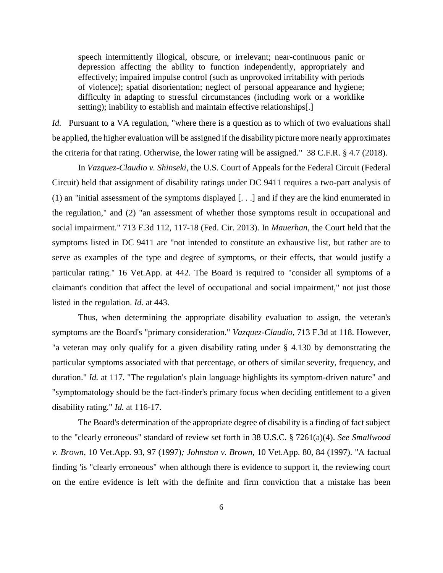speech intermittently illogical, obscure, or irrelevant; near-continuous panic or depression affecting the ability to function independently, appropriately and effectively; impaired impulse control (such as unprovoked irritability with periods of violence); spatial disorientation; neglect of personal appearance and hygiene; difficulty in adapting to stressful circumstances (including work or a worklike setting); inability to establish and maintain effective relationships[.]

*Id.* Pursuant to a VA regulation, "where there is a question as to which of two evaluations shall be applied, the higher evaluation will be assigned if the disability picture more nearly approximates the criteria for that rating. Otherwise, the lower rating will be assigned." 38 C.F.R. § 4.7 (2018).

In *Vazquez-Claudio v. Shinseki*, the U.S. Court of Appeals for the Federal Circuit (Federal Circuit) held that assignment of disability ratings under DC 9411 requires a two-part analysis of (1) an "initial assessment of the symptoms displayed [. . .] and if they are the kind enumerated in the regulation," and (2) "an assessment of whether those symptoms result in occupational and social impairment." 713 F.3d 112, 117-18 (Fed. Cir. 2013). In *Mauerhan*, the Court held that the symptoms listed in DC 9411 are "not intended to constitute an exhaustive list, but rather are to serve as examples of the type and degree of symptoms, or their effects, that would justify a particular rating." 16 Vet.App. at 442. The Board is required to "consider all symptoms of a claimant's condition that affect the level of occupational and social impairment," not just those listed in the regulation. *Id.* at 443.

Thus, when determining the appropriate disability evaluation to assign, the veteran's symptoms are the Board's "primary consideration." *Vazquez-Claudio*, 713 F.3d at 118. However, "a veteran may only qualify for a given disability rating under § 4.130 by demonstrating the particular symptoms associated with that percentage, or others of similar severity, frequency, and duration." *Id.* at 117. "The regulation's plain language highlights its symptom-driven nature" and "symptomatology should be the fact-finder's primary focus when deciding entitlement to a given disability rating." *Id.* at 116-17.

The Board's determination of the appropriate degree of disability is a finding of fact subject to the "clearly erroneous" standard of review set forth in 38 U.S.C. § 7261(a)(4). *See Smallwood v. Brown*, 10 Vet.App. 93, 97 (1997)*; Johnston v. Brown,* 10 Vet.App. 80, 84 (1997). "A factual finding 'is "clearly erroneous" when although there is evidence to support it, the reviewing court on the entire evidence is left with the definite and firm conviction that a mistake has been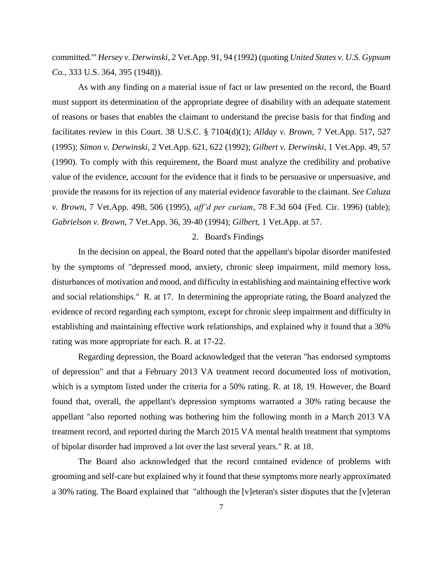committed.'" *Hersey v. Derwinski*, 2 Vet.App. 91, 94 (1992) (quoting *United States v. U.S. Gypsum Co.*, 333 U.S. 364, 395 (1948)).

As with any finding on a material issue of fact or law presented on the record, the Board must support its determination of the appropriate degree of disability with an adequate statement of reasons or bases that enables the claimant to understand the precise basis for that finding and facilitates review in this Court. 38 U.S.C. § 7104(d)(1); *Allday v. Brown*, 7 Vet.App. 517, 527 (1995); *Simon v. Derwinski*, 2 Vet.App. 621, 622 (1992); *Gilbert v. Derwinski*, 1 Vet.App. 49, 57 (1990). To comply with this requirement, the Board must analyze the credibility and probative value of the evidence, account for the evidence that it finds to be persuasive or unpersuasive, and provide the reasons for its rejection of any material evidence favorable to the claimant. *See Caluza v. Brown*, 7 Vet.App. 498, 506 (1995), *aff'd per curiam*, 78 F.3d 604 (Fed. Cir. 1996) (table); *Gabrielson v. Brown*, 7 Vet.App. 36, 39-40 (1994); *Gilbert,* 1 Vet.App. at 57.

## 2. Board's Findings

In the decision on appeal, the Board noted that the appellant's bipolar disorder manifested by the symptoms of "depressed mood, anxiety, chronic sleep impairment, mild memory loss, disturbances of motivation and mood, and difficulty in establishing and maintaining effective work and social relationships." R. at 17. In determining the appropriate rating, the Board analyzed the evidence of record regarding each symptom, except for chronic sleep impairment and difficulty in establishing and maintaining effective work relationships, and explained why it found that a 30% rating was more appropriate for each. R. at 17-22.

Regarding depression, the Board acknowledged that the veteran "has endorsed symptoms of depression" and that a February 2013 VA treatment record documented loss of motivation, which is a symptom listed under the criteria for a 50% rating. R. at 18, 19. However, the Board found that, overall, the appellant's depression symptoms warranted a 30% rating because the appellant "also reported nothing was bothering him the following month in a March 2013 VA treatment record, and reported during the March 2015 VA mental health treatment that symptoms of bipolar disorder had improved a lot over the last several years." R. at 18.

The Board also acknowledged that the record contained evidence of problems with grooming and self-care but explained why it found that these symptoms more nearly approximated a 30% rating. The Board explained that "although the [v]eteran's sister disputes that the [v]eteran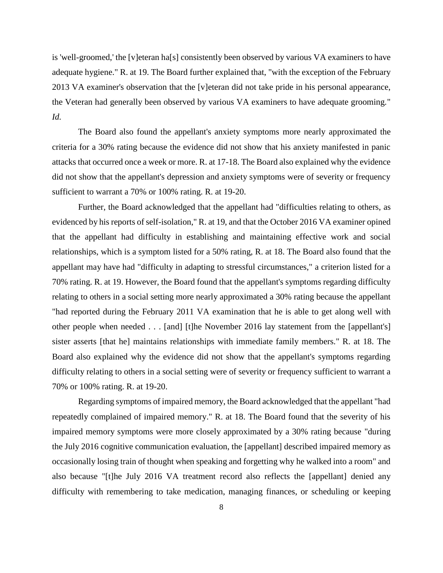is 'well-groomed,' the [v]eteran ha[s] consistently been observed by various VA examiners to have adequate hygiene." R. at 19. The Board further explained that, "with the exception of the February 2013 VA examiner's observation that the [v]eteran did not take pride in his personal appearance, the Veteran had generally been observed by various VA examiners to have adequate grooming." *Id.*

The Board also found the appellant's anxiety symptoms more nearly approximated the criteria for a 30% rating because the evidence did not show that his anxiety manifested in panic attacks that occurred once a week or more. R. at 17-18. The Board also explained why the evidence did not show that the appellant's depression and anxiety symptoms were of severity or frequency sufficient to warrant a 70% or 100% rating. R. at 19-20.

Further, the Board acknowledged that the appellant had "difficulties relating to others, as evidenced by his reports of self-isolation," R. at 19, and that the October 2016 VA examiner opined that the appellant had difficulty in establishing and maintaining effective work and social relationships, which is a symptom listed for a 50% rating, R. at 18. The Board also found that the appellant may have had "difficulty in adapting to stressful circumstances," a criterion listed for a 70% rating. R. at 19. However, the Board found that the appellant's symptoms regarding difficulty relating to others in a social setting more nearly approximated a 30% rating because the appellant "had reported during the February 2011 VA examination that he is able to get along well with other people when needed . . . [and] [t]he November 2016 lay statement from the [appellant's] sister asserts [that he] maintains relationships with immediate family members." R. at 18. The Board also explained why the evidence did not show that the appellant's symptoms regarding difficulty relating to others in a social setting were of severity or frequency sufficient to warrant a 70% or 100% rating. R. at 19-20.

Regarding symptoms of impaired memory, the Board acknowledged that the appellant "had repeatedly complained of impaired memory." R. at 18. The Board found that the severity of his impaired memory symptoms were more closely approximated by a 30% rating because "during the July 2016 cognitive communication evaluation, the [appellant] described impaired memory as occasionally losing train of thought when speaking and forgetting why he walked into a room" and also because "[t]he July 2016 VA treatment record also reflects the [appellant] denied any difficulty with remembering to take medication, managing finances, or scheduling or keeping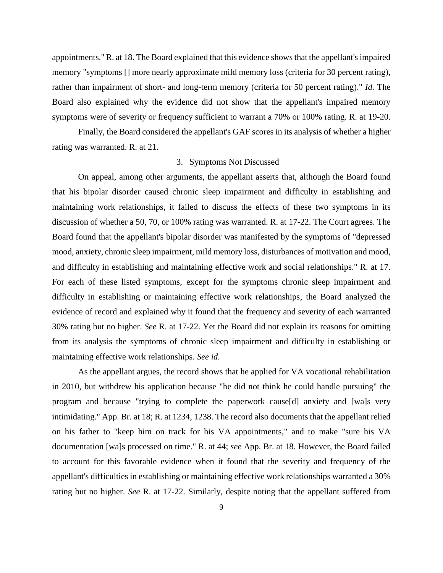appointments." R. at 18. The Board explained that this evidence shows that the appellant's impaired memory "symptoms [] more nearly approximate mild memory loss (criteria for 30 percent rating), rather than impairment of short- and long-term memory (criteria for 50 percent rating)." *Id.* The Board also explained why the evidence did not show that the appellant's impaired memory symptoms were of severity or frequency sufficient to warrant a 70% or 100% rating. R. at 19-20.

Finally, the Board considered the appellant's GAF scores in its analysis of whether a higher rating was warranted. R. at 21.

## 3. Symptoms Not Discussed

On appeal, among other arguments, the appellant asserts that, although the Board found that his bipolar disorder caused chronic sleep impairment and difficulty in establishing and maintaining work relationships, it failed to discuss the effects of these two symptoms in its discussion of whether a 50, 70, or 100% rating was warranted. R. at 17-22. The Court agrees. The Board found that the appellant's bipolar disorder was manifested by the symptoms of "depressed mood, anxiety, chronic sleep impairment, mild memory loss, disturbances of motivation and mood, and difficulty in establishing and maintaining effective work and social relationships." R. at 17. For each of these listed symptoms, except for the symptoms chronic sleep impairment and difficulty in establishing or maintaining effective work relationships, the Board analyzed the evidence of record and explained why it found that the frequency and severity of each warranted 30% rating but no higher. *See* R. at 17-22. Yet the Board did not explain its reasons for omitting from its analysis the symptoms of chronic sleep impairment and difficulty in establishing or maintaining effective work relationships. *See id.*

As the appellant argues, the record shows that he applied for VA vocational rehabilitation in 2010, but withdrew his application because "he did not think he could handle pursuing" the program and because "trying to complete the paperwork cause[d] anxiety and [wa]s very intimidating." App. Br. at 18; R. at 1234, 1238. The record also documents that the appellant relied on his father to "keep him on track for his VA appointments," and to make "sure his VA documentation [wa]s processed on time." R. at 44; *see* App. Br. at 18. However, the Board failed to account for this favorable evidence when it found that the severity and frequency of the appellant's difficulties in establishing or maintaining effective work relationships warranted a 30% rating but no higher. *See* R. at 17-22. Similarly, despite noting that the appellant suffered from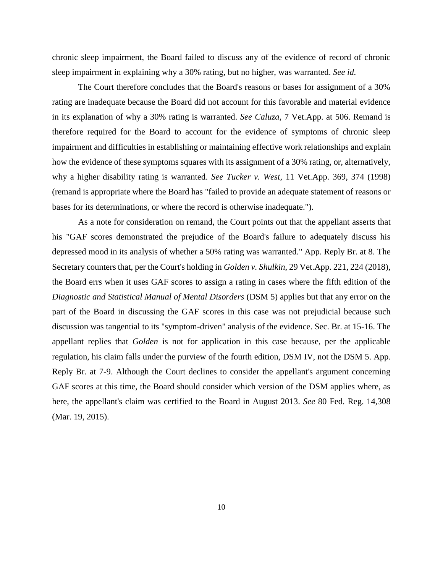chronic sleep impairment, the Board failed to discuss any of the evidence of record of chronic sleep impairment in explaining why a 30% rating, but no higher, was warranted. *See id.*

The Court therefore concludes that the Board's reasons or bases for assignment of a 30% rating are inadequate because the Board did not account for this favorable and material evidence in its explanation of why a 30% rating is warranted. *See Caluza*, 7 Vet.App. at 506. Remand is therefore required for the Board to account for the evidence of symptoms of chronic sleep impairment and difficulties in establishing or maintaining effective work relationships and explain how the evidence of these symptoms squares with its assignment of a 30% rating, or, alternatively, why a higher disability rating is warranted. *See Tucker v. West*, 11 Vet.App. 369, 374 (1998) (remand is appropriate where the Board has "failed to provide an adequate statement of reasons or bases for its determinations, or where the record is otherwise inadequate.").

As a note for consideration on remand, the Court points out that the appellant asserts that his "GAF scores demonstrated the prejudice of the Board's failure to adequately discuss his depressed mood in its analysis of whether a 50% rating was warranted." App. Reply Br. at 8. The Secretary counters that, per the Court's holding in *Golden v. Shulkin*, 29 Vet.App. 221, 224 (2018), the Board errs when it uses GAF scores to assign a rating in cases where the fifth edition of the *Diagnostic and Statistical Manual of Mental Disorders* (DSM 5) applies but that any error on the part of the Board in discussing the GAF scores in this case was not prejudicial because such discussion was tangential to its "symptom-driven" analysis of the evidence. Sec. Br. at 15-16. The appellant replies that *Golden* is not for application in this case because, per the applicable regulation, his claim falls under the purview of the fourth edition, DSM IV, not the DSM 5. App. Reply Br. at 7-9. Although the Court declines to consider the appellant's argument concerning GAF scores at this time, the Board should consider which version of the DSM applies where, as here, the appellant's claim was certified to the Board in August 2013. *See* 80 Fed. Reg. 14,308 (Mar. 19, 2015).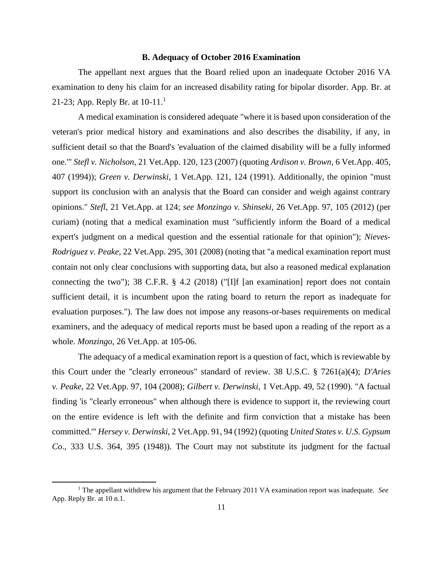## **B. Adequacy of October 2016 Examination**

The appellant next argues that the Board relied upon an inadequate October 2016 VA examination to deny his claim for an increased disability rating for bipolar disorder. App. Br. at 21-23; App. Reply Br. at  $10-11$ .<sup>1</sup>

A medical examination is considered adequate "where it is based upon consideration of the veteran's prior medical history and examinations and also describes the disability, if any, in sufficient detail so that the Board's 'evaluation of the claimed disability will be a fully informed one.'" *Stefl v. Nicholson*, 21 Vet.App. 120, 123 (2007) (quoting *Ardison v. Brown*, 6 Vet.App. 405, 407 (1994)); *Green v. Derwinski*, 1 Vet.App. 121, 124 (1991). Additionally, the opinion "must support its conclusion with an analysis that the Board can consider and weigh against contrary opinions." *Stefl*, 21 Vet.App. at 124; *see Monzingo v. Shinseki*, 26 Vet.App. 97, 105 (2012) (per curiam) (noting that a medical examination must "sufficiently inform the Board of a medical expert's judgment on a medical question and the essential rationale for that opinion"); *Nieves-Rodriguez v. Peake*, 22 Vet.App. 295, 301 (2008) (noting that "a medical examination report must contain not only clear conclusions with supporting data, but also a reasoned medical explanation connecting the two"); 38 C.F.R. § 4.2 (2018) ("[I]f [an examination] report does not contain sufficient detail, it is incumbent upon the rating board to return the report as inadequate for evaluation purposes."). The law does not impose any reasons-or-bases requirements on medical examiners, and the adequacy of medical reports must be based upon a reading of the report as a whole. *Monzingo*, 26 Vet.App. at 105-06.

The adequacy of a medical examination report is a question of fact, which is reviewable by this Court under the "clearly erroneous" standard of review. 38 U.S.C. § 7261(a)(4); *D'Aries v. Peake*, 22 Vet.App. 97, 104 (2008); *Gilbert v. Derwinski*, 1 Vet.App. 49, 52 (1990). "A factual finding 'is "clearly erroneous" when although there is evidence to support it, the reviewing court on the entire evidence is left with the definite and firm conviction that a mistake has been committed.'" *Hersey v. Derwinski*, 2 Vet.App. 91, 94 (1992) (quoting *United States v. U.S. Gypsum Co*., 333 U.S. 364, 395 (1948)). The Court may not substitute its judgment for the factual

 $\overline{\phantom{a}}$ 

<sup>1</sup> The appellant withdrew his argument that the February 2011 VA examination report was inadequate. *See*  App. Reply Br. at 10 n.1.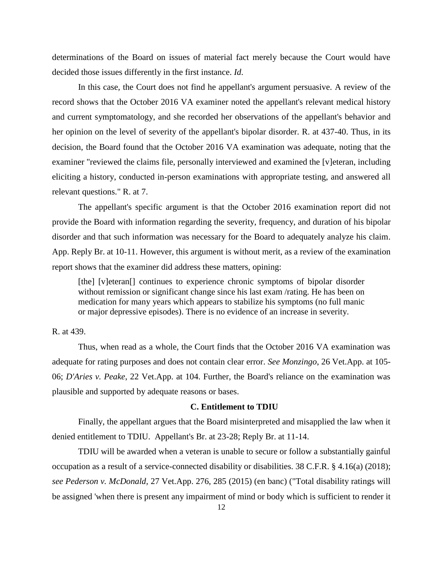determinations of the Board on issues of material fact merely because the Court would have decided those issues differently in the first instance. *Id*.

In this case, the Court does not find he appellant's argument persuasive. A review of the record shows that the October 2016 VA examiner noted the appellant's relevant medical history and current symptomatology, and she recorded her observations of the appellant's behavior and her opinion on the level of severity of the appellant's bipolar disorder. R. at 437-40. Thus, in its decision, the Board found that the October 2016 VA examination was adequate, noting that the examiner "reviewed the claims file, personally interviewed and examined the [v]eteran, including eliciting a history, conducted in-person examinations with appropriate testing, and answered all relevant questions." R. at 7.

The appellant's specific argument is that the October 2016 examination report did not provide the Board with information regarding the severity, frequency, and duration of his bipolar disorder and that such information was necessary for the Board to adequately analyze his claim. App. Reply Br. at 10-11. However, this argument is without merit, as a review of the examination report shows that the examiner did address these matters, opining:

[the] [v]eteran] continues to experience chronic symptoms of bipolar disorder without remission or significant change since his last exam /rating. He has been on medication for many years which appears to stabilize his symptoms (no full manic or major depressive episodes). There is no evidence of an increase in severity.

## R. at 439.

Thus, when read as a whole, the Court finds that the October 2016 VA examination was adequate for rating purposes and does not contain clear error. *See Monzingo*, 26 Vet.App. at 105- 06; *D'Aries v. Peake*, 22 Vet.App. at 104. Further, the Board's reliance on the examination was plausible and supported by adequate reasons or bases.

### **C. Entitlement to TDIU**

Finally, the appellant argues that the Board misinterpreted and misapplied the law when it denied entitlement to TDIU. Appellant's Br. at 23-28; Reply Br. at 11-14.

TDIU will be awarded when a veteran is unable to secure or follow a substantially gainful occupation as a result of a service-connected disability or disabilities. 38 C.F.R. § 4.16(a) (2018); *see Pederson v. McDonald,* 27 Vet.App. 276, 285 (2015) (en banc) ("Total disability ratings will be assigned 'when there is present any impairment of mind or body which is sufficient to render it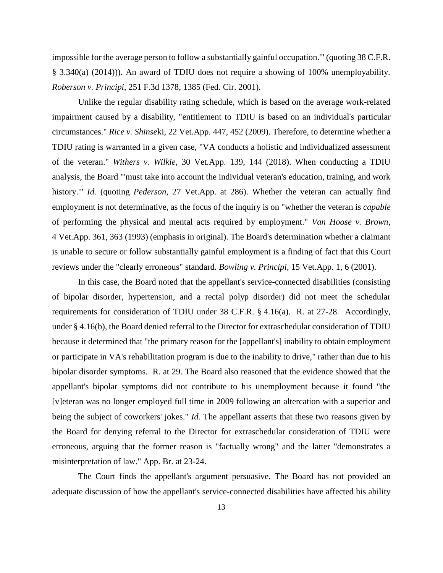impossible for the average person to follow a substantially gainful occupation.'" (quoting 38 C.F.R. § 3.340(a) (2014))). An award of TDIU does not require a showing of 100% unemployability. *Roberson v. Principi*, 251 F.3d 1378, 1385 (Fed. Cir. 2001).

Unlike the regular disability rating schedule, which is based on the average work-related impairment caused by a disability, "entitlement to TDIU is based on an individual's particular circumstances." *Rice v. Shinse*ki, 22 Vet.App. 447, 452 (2009). Therefore, to determine whether a TDIU rating is warranted in a given case, "VA conducts a holistic and individualized assessment of the veteran." *Withers v. Wilkie*, 30 Vet.App. 139, 144 (2018). When conducting a TDIU analysis, the Board "'must take into account the individual veteran's education, training, and work history.'" *Id.* (quoting *Pederson*, 27 Vet.App. at 286). Whether the veteran can actually find employment is not determinative, as the focus of the inquiry is on "whether the veteran is *capable* of performing the physical and mental acts required by employment." *Van Hoose v. Brown*, 4 Vet.App. 361, 363 (1993) (emphasis in original). The Board's determination whether a claimant is unable to secure or follow substantially gainful employment is a finding of fact that this Court reviews under the "clearly erroneous" standard. *Bowling v. Principi*, 15 Vet.App. 1, 6 (2001).

In this case, the Board noted that the appellant's service-connected disabilities (consisting of bipolar disorder, hypertension, and a rectal polyp disorder) did not meet the schedular requirements for consideration of TDIU under 38 C.F.R. § 4.16(a). R. at 27-28. Accordingly, under § 4.16(b), the Board denied referral to the Director for extraschedular consideration of TDIU because it determined that "the primary reason for the [appellant's] inability to obtain employment or participate in VA's rehabilitation program is due to the inability to drive," rather than due to his bipolar disorder symptoms. R. at 29. The Board also reasoned that the evidence showed that the appellant's bipolar symptoms did not contribute to his unemployment because it found "the [v]eteran was no longer employed full time in 2009 following an altercation with a superior and being the subject of coworkers' jokes." *Id.* The appellant asserts that these two reasons given by the Board for denying referral to the Director for extraschedular consideration of TDIU were erroneous, arguing that the former reason is "factually wrong" and the latter "demonstrates a misinterpretation of law." App. Br. at 23-24.

The Court finds the appellant's argument persuasive. The Board has not provided an adequate discussion of how the appellant's service-connected disabilities have affected his ability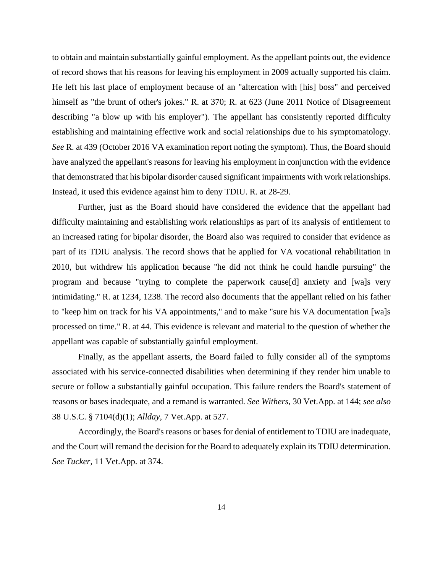to obtain and maintain substantially gainful employment. As the appellant points out, the evidence of record shows that his reasons for leaving his employment in 2009 actually supported his claim. He left his last place of employment because of an "altercation with [his] boss" and perceived himself as "the brunt of other's jokes." R. at 370; R. at 623 (June 2011 Notice of Disagreement describing "a blow up with his employer"). The appellant has consistently reported difficulty establishing and maintaining effective work and social relationships due to his symptomatology. *See* R. at 439 (October 2016 VA examination report noting the symptom). Thus, the Board should have analyzed the appellant's reasons for leaving his employment in conjunction with the evidence that demonstrated that his bipolar disorder caused significant impairments with work relationships. Instead, it used this evidence against him to deny TDIU. R. at 28-29.

Further, just as the Board should have considered the evidence that the appellant had difficulty maintaining and establishing work relationships as part of its analysis of entitlement to an increased rating for bipolar disorder, the Board also was required to consider that evidence as part of its TDIU analysis. The record shows that he applied for VA vocational rehabilitation in 2010, but withdrew his application because "he did not think he could handle pursuing" the program and because "trying to complete the paperwork cause[d] anxiety and [wa]s very intimidating." R. at 1234, 1238. The record also documents that the appellant relied on his father to "keep him on track for his VA appointments," and to make "sure his VA documentation [wa]s processed on time." R. at 44. This evidence is relevant and material to the question of whether the appellant was capable of substantially gainful employment.

Finally, as the appellant asserts, the Board failed to fully consider all of the symptoms associated with his service-connected disabilities when determining if they render him unable to secure or follow a substantially gainful occupation. This failure renders the Board's statement of reasons or bases inadequate, and a remand is warranted. *See Withers*, 30 Vet.App. at 144; *see also* 38 U.S.C. § 7104(d)(1); *Allday*, 7 Vet.App. at 527.

Accordingly, the Board's reasons or bases for denial of entitlement to TDIU are inadequate, and the Court will remand the decision for the Board to adequately explain its TDIU determination. *See Tucker*, 11 Vet.App. at 374.